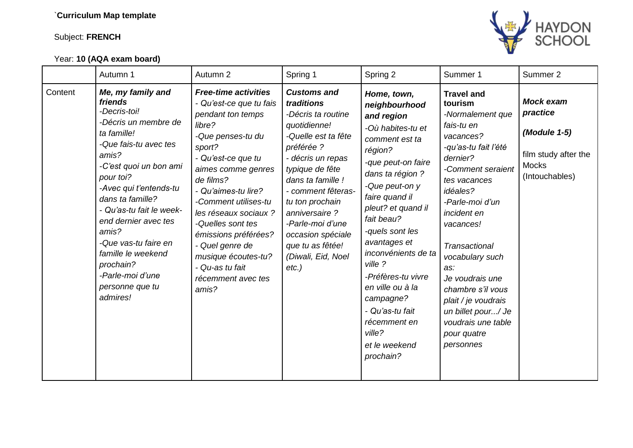## Subject: **FRENCH**

## Year: **10 (AQA exam board)**



|         | Autumn 1                                                                                                                                                                                                                                                                                                                                                                              | Autumn 2                                                                                                                                                                                                                                                                                                                                                                                       | Spring 1                                                                                                                                                                                                                                                                                                                          | Spring 2                                                                                                                                                                                                                                                                                                                                                                                                              | Summer 1                                                                                                                                                                                                                                                                                                                                                                                                 | Summer 2                                                                                               |
|---------|---------------------------------------------------------------------------------------------------------------------------------------------------------------------------------------------------------------------------------------------------------------------------------------------------------------------------------------------------------------------------------------|------------------------------------------------------------------------------------------------------------------------------------------------------------------------------------------------------------------------------------------------------------------------------------------------------------------------------------------------------------------------------------------------|-----------------------------------------------------------------------------------------------------------------------------------------------------------------------------------------------------------------------------------------------------------------------------------------------------------------------------------|-----------------------------------------------------------------------------------------------------------------------------------------------------------------------------------------------------------------------------------------------------------------------------------------------------------------------------------------------------------------------------------------------------------------------|----------------------------------------------------------------------------------------------------------------------------------------------------------------------------------------------------------------------------------------------------------------------------------------------------------------------------------------------------------------------------------------------------------|--------------------------------------------------------------------------------------------------------|
| Content | Me, my family and<br>friends<br>-Decris-toi!<br>-Décris un membre de<br>ta famille!<br>-Que fais-tu avec tes<br>amis?<br>-C'est quoi un bon ami<br>pour toi?<br>-Avec qui t'entends-tu<br>dans ta famille?<br>- Qu'as-tu fait le week-<br>end dernier avec tes<br>amis?<br>-Que vas-tu faire en<br>famille le weekend<br>prochain?<br>-Parle-moi d'une<br>personne que tu<br>admires! | <b>Free-time activities</b><br>- Qu'est-ce que tu fais<br>pendant ton temps<br>libre?<br>-Que penses-tu du<br>sport?<br>- Qu'est-ce que tu<br>aimes comme genres<br>de films?<br>- Qu'aimes-tu lire?<br>-Comment utilises-tu<br>les réseaux sociaux ?<br>-Quelles sont tes<br>émissions préférées?<br>- Quel genre de<br>musique écoutes-tu?<br>- Qu-as tu fait<br>récemment avec tes<br>amis? | <b>Customs and</b><br>traditions<br>-Décris ta routine<br>quotidienne!<br>-Quelle est ta fête<br>préférée ?<br>- décris un repas<br>typique de fête<br>dans ta famille !<br>- comment fêteras-<br>tu ton prochain<br>anniversaire?<br>-Parle-moi d'une<br>occasion spéciale<br>que tu as fêtée!<br>(Diwali, Eid, Noel<br>$etc.$ ) | Home, town,<br>neighbourhood<br>and region<br>-Où habites-tu et<br>comment est ta<br>région?<br>-que peut-on faire<br>dans ta région ?<br>-Que peut-on y<br>faire quand il<br>pleut? et quand il<br>fait beau?<br>-quels sont les<br>avantages et<br>inconvénients de ta<br>ville ?<br>-Préfères-tu vivre<br>en ville ou à la<br>campagne?<br>- Qu'as-tu fait<br>récemment en<br>ville?<br>et le weekend<br>prochain? | <b>Travel and</b><br>tourism<br>-Normalement que<br>fais-tu en<br>vacances?<br>-qu'as-tu fait l'été<br>dernier?<br>-Comment seraient<br>tes vacances<br>idéales?<br>-Parle-moi d'un<br>incident en<br>vacances!<br><b>Transactional</b><br>vocabulary such<br>as:<br>Je voudrais une<br>chambre s'il vous<br>plait / je voudrais<br>un billet pour/ Je<br>voudrais une table<br>pour quatre<br>personnes | <b>Mock exam</b><br>practice<br>(Module 1-5)<br>film study after the<br><b>Mocks</b><br>(Intouchables) |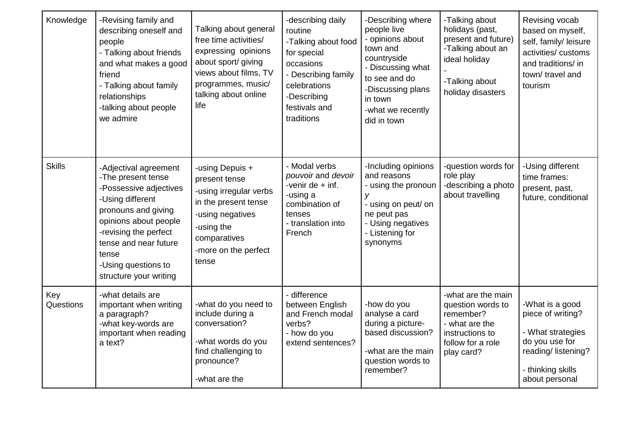| Knowledge        | -Revising family and<br>describing oneself and<br>people<br>- Talking about friends<br>and what makes a good<br>friend<br>- Talking about family<br>relationships<br>-talking about people<br>we admire                                               | Talking about general<br>free time activities/<br>expressing opinions<br>about sport/ giving<br>views about films, TV<br>programmes, music/<br>talking about online<br>life | -describing daily<br>routine<br>-Talking about food<br>for special<br>occasions<br>- Describing family<br>celebrations<br>-Describing<br>festivals and<br>traditions | -Describing where<br>people live<br>- opinions about<br>town and<br>countryside<br>- Discussing what<br>to see and do<br>-Discussing plans<br>in town<br>-what we recently<br>did in town | -Talking about<br>holidays (past,<br>present and future)<br>-Talking about an<br>ideal holiday<br>-Talking about<br>holiday disasters | Revising vocab<br>based on myself,<br>self, family/ leisure<br>activities/ customs<br>and traditions/ in<br>town/travel and<br>tourism   |
|------------------|-------------------------------------------------------------------------------------------------------------------------------------------------------------------------------------------------------------------------------------------------------|-----------------------------------------------------------------------------------------------------------------------------------------------------------------------------|----------------------------------------------------------------------------------------------------------------------------------------------------------------------|-------------------------------------------------------------------------------------------------------------------------------------------------------------------------------------------|---------------------------------------------------------------------------------------------------------------------------------------|------------------------------------------------------------------------------------------------------------------------------------------|
| <b>Skills</b>    | -Adjectival agreement<br>-The present tense<br>-Possessive adjectives<br>-Using different<br>pronouns and giving<br>opinions about people<br>-revising the perfect<br>tense and near future<br>tense<br>-Using questions to<br>structure your writing | -using Depuis +<br>present tense<br>-using irregular verbs<br>in the present tense<br>-using negatives<br>-using the<br>comparatives<br>-more on the perfect<br>tense       | - Modal verbs<br>pouvoir and devoir<br>-venir de $+$ inf.<br>-using a<br>combination of<br>tenses<br>- translation into<br>French                                    | -Including opinions<br>and reasons<br>- using the pronoun<br>y<br>- using on peut/ on<br>ne peut pas<br>- Using negatives<br>- Listening for<br>synonyms                                  | -question words for<br>role play<br>-describing a photo<br>about travelling                                                           | -Using different<br>time frames:<br>present, past,<br>future, conditional                                                                |
| Key<br>Questions | -what details are<br>important when writing<br>a paragraph?<br>-what key-words are<br>important when reading<br>a text?                                                                                                                               | -what do you need to<br>include during a<br>conversation?<br>-what words do you<br>find challenging to<br>pronounce?<br>-what are the                                       | - difference<br>between English<br>and French modal<br>verbs?<br>- how do you<br>extend sentences?                                                                   | -how do you<br>analyse a card<br>during a picture-<br>based discussion?<br>-what are the main<br>question words to<br>remember?                                                           | -what are the main<br>question words to<br>remember?<br>- what are the<br>instructions to<br>follow for a role<br>play card?          | -What is a good<br>piece of writing?<br>- What strategies<br>do you use for<br>reading/listening?<br>- thinking skills<br>about personal |